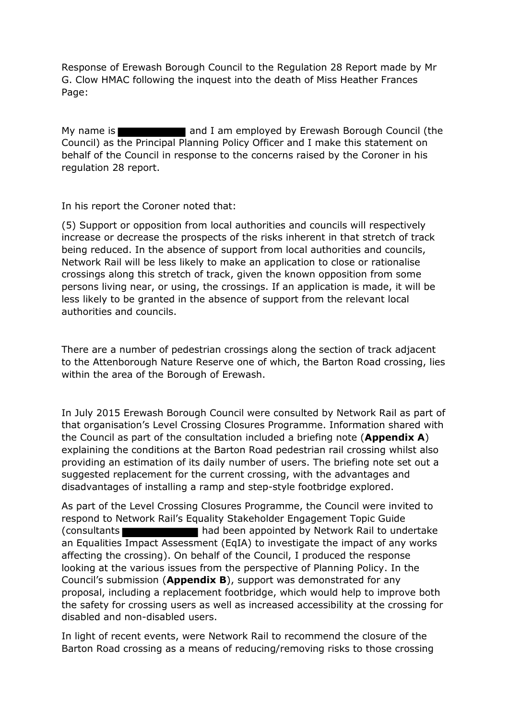Response of Erewash Borough Council to the Regulation 28 Report made by Mr G. Clow HMAC following the inquest into the death of Miss Heather Frances Page:

My name is **All and I am** employed by Erewash Borough Council (the Council) as the Principal Planning Policy Officer and I make this statement on behalf of the Council in response to the concerns raised by the Coroner in his regulation 28 report.

In his report the Coroner noted that:

(5) Support or opposition from local authorities and councils will respectively increase or decrease the prospects of the risks inherent in that stretch of track being reduced. In the absence of support from local authorities and councils, Network Rail will be less likely to make an application to close or rationalise crossings along this stretch of track, given the known opposition from some persons living near, or using, the crossings. If an application is made, it will be less likely to be granted in the absence of support from the relevant local authorities and councils.

There are a number of pedestrian crossings along the section of track adjacent to the Attenborough Nature Reserve one of which, the Barton Road crossing, lies within the area of the Borough of Erewash.

In July 2015 Erewash Borough Council were consulted by Network Rail as part of that organisation's Level Crossing Closures Programme. Information shared with the Council as part of the consultation included a briefing note (**Appendix A**) explaining the conditions at the Barton Road pedestrian rail crossing whilst also providing an estimation of its daily number of users. The briefing note set out a suggested replacement for the current crossing, with the advantages and disadvantages of installing a ramp and step-style footbridge explored.

As part of the Level Crossing Closures Programme, the Council were invited to respond to Network Rail's Equality Stakeholder Engagement Topic Guide (consultants had been appointed by Network Rail to undertake an Equalities Impact Assessment (EqIA) to investigate the impact of any works affecting the crossing). On behalf of the Council, I produced the response looking at the various issues from the perspective of Planning Policy. In the Council's submission (**Appendix B**), support was demonstrated for any proposal, including a replacement footbridge, which would help to improve both the safety for crossing users as well as increased accessibility at the crossing for disabled and non-disabled users.

In light of recent events, were Network Rail to recommend the closure of the Barton Road crossing as a means of reducing/removing risks to those crossing